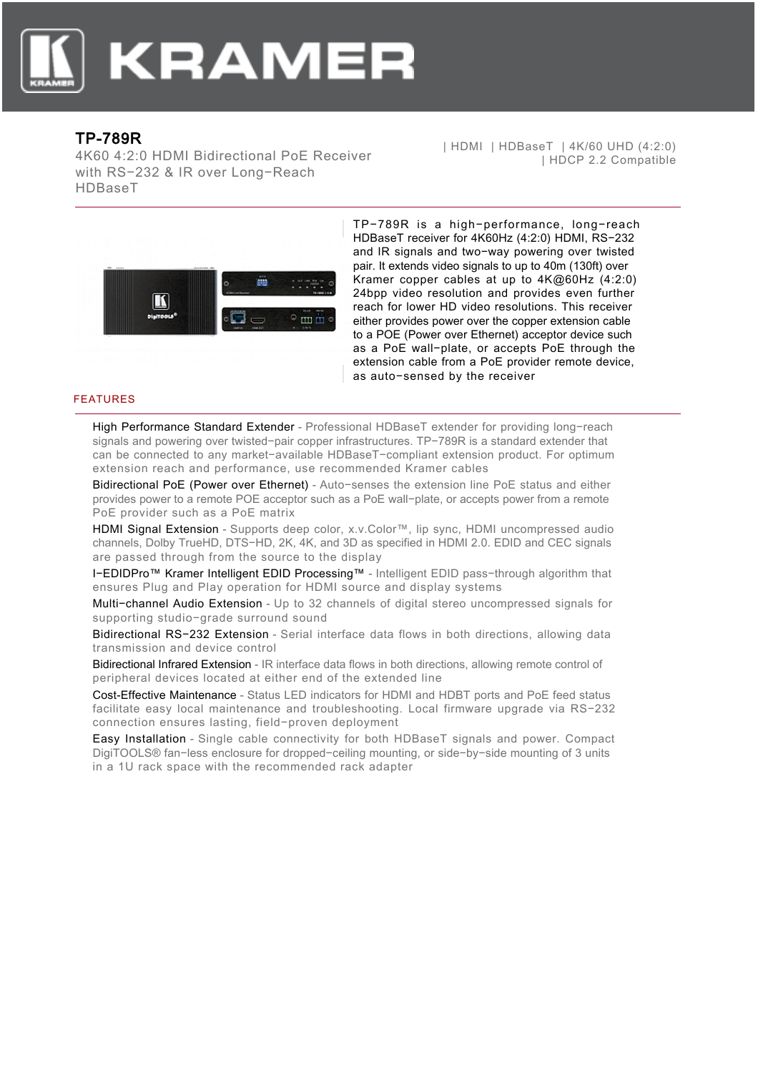

## TP-789R

4K60 4:2:0 HDMI Bidirectional PoE Receiver with RS−232 & IR over Long−Reach HDBaseT

| HDMI | HDBaseT | 4K/60 UHD (4:2:0) | HDCP 2.2 Compatible



TP−789R is a high−performance, long−reach HDBaseT receiver for 4K60Hz (4:2:0) HDMI, RS−232 and IR signals and two−way powering over twisted pair. It extends video signals to up to 40m (130ft) over Kramer copper cables at up to 4K@60Hz (4:2:0) 24bpp video resolution and provides even further reach for lower HD video resolutions. This receiver either provides power over the copper extension cable to a POE (Power over Ethernet) acceptor device such as a PoE wall−plate, or accepts PoE through the extension cable from a PoE provider remote device, as auto−sensed by the receiver

## FEATURES

High Performance Standard Extender - Professional HDBaseT extender for providing long-reach signals and powering over twisted−pair copper infrastructures. TP−789R is a standard extender that can be connected to any market−available HDBaseT−compliant extension product. For optimum extension reach and performance, use recommended Kramer cables

Bidirectional PoE (Power over Ethernet) - Auto−senses the extension line PoE status and either provides power to a remote POE acceptor such as a PoE wall−plate, or accepts power from a remote PoE provider such as a PoE matrix

HDMI Signal Extension - Supports deep color, x.v.Color™, lip sync, HDMI uncompressed audio channels, Dolby TrueHD, DTS−HD, 2K, 4K, and 3D as specified in HDMI 2.0. EDID and CEC signals are passed through from the source to the display

I−EDIDPro™ Kramer Intelligent EDID Processing™ - Intelligent EDID pass−through algorithm that ensures Plug and Play operation for HDMI source and display systems

Multi−channel Audio Extension - Up to 32 channels of digital stereo uncompressed signals for supporting studio−grade surround sound

Bidirectional RS−232 Extension - Serial interface data flows in both directions, allowing data transmission and device control

Bidirectional Infrared Extension - IR interface data flows in both directions, allowing remote control of peripheral devices located at either end of the extended line

Cost-Effective Maintenance - Status LED indicators for HDMI and HDBT ports and PoE feed status facilitate easy local maintenance and troubleshooting. Local firmware upgrade via RS−232 connection ensures lasting, field−proven deployment

Easy Installation - Single cable connectivity for both HDBaseT signals and power. Compact DigiTOOLS® fan−less enclosure for dropped−ceiling mounting, or side−by−side mounting of 3 units in a 1U rack space with the recommended rack adapter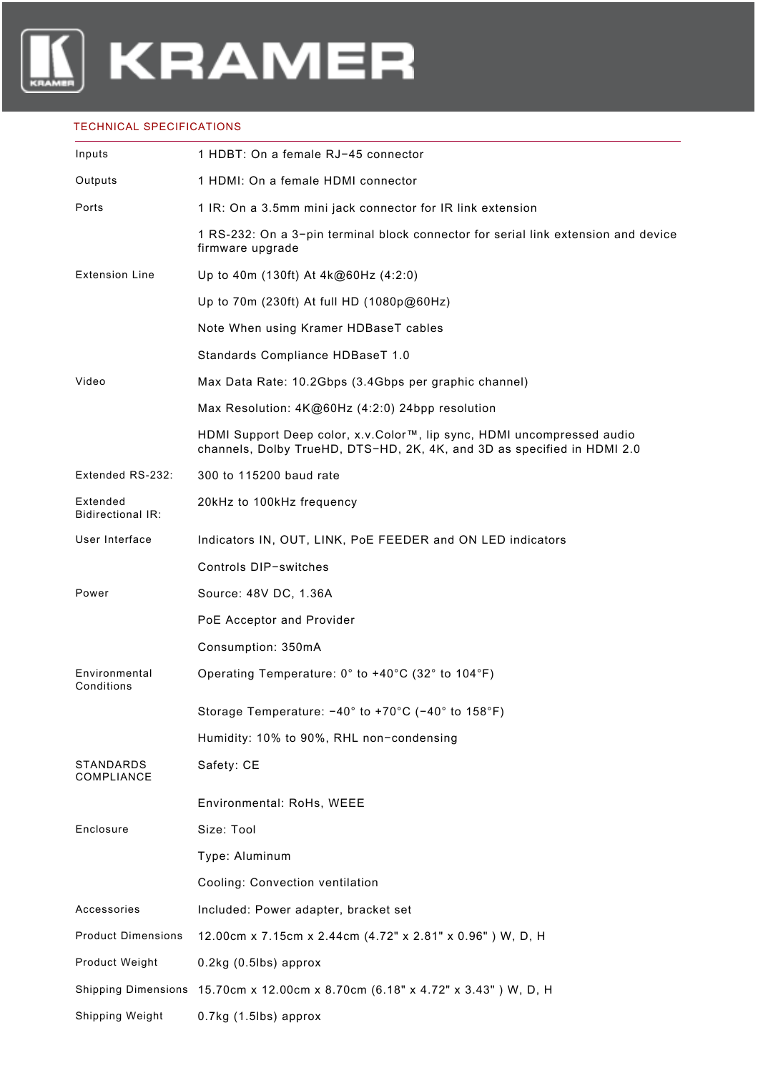

## TECHNICAL SPECIFICATIONS

| Inputs                               | 1 HDBT: On a female RJ-45 connector                                                                                                               |
|--------------------------------------|---------------------------------------------------------------------------------------------------------------------------------------------------|
| Outputs                              | 1 HDMI: On a female HDMI connector                                                                                                                |
| Ports                                | 1 IR: On a 3.5mm mini jack connector for IR link extension                                                                                        |
|                                      | 1 RS-232: On a 3-pin terminal block connector for serial link extension and device<br>firmware upgrade                                            |
| <b>Extension Line</b>                | Up to 40m (130ft) At 4k@60Hz (4:2:0)                                                                                                              |
|                                      | Up to 70m (230ft) At full HD (1080p@60Hz)                                                                                                         |
|                                      | Note When using Kramer HDBaseT cables                                                                                                             |
|                                      | Standards Compliance HDBaseT 1.0                                                                                                                  |
| Video                                | Max Data Rate: 10.2Gbps (3.4Gbps per graphic channel)                                                                                             |
|                                      | Max Resolution: 4K@60Hz (4:2:0) 24bpp resolution                                                                                                  |
|                                      | HDMI Support Deep color, x.v.Color™, lip sync, HDMI uncompressed audio<br>channels, Dolby TrueHD, DTS-HD, 2K, 4K, and 3D as specified in HDMI 2.0 |
| Extended RS-232:                     | 300 to 115200 baud rate                                                                                                                           |
| Extended<br><b>Bidirectional IR:</b> | 20kHz to 100kHz frequency                                                                                                                         |
| User Interface                       | Indicators IN, OUT, LINK, PoE FEEDER and ON LED indicators                                                                                        |
|                                      | Controls DIP-switches                                                                                                                             |
| Power                                | Source: 48V DC, 1.36A                                                                                                                             |
|                                      | PoE Acceptor and Provider                                                                                                                         |
|                                      | Consumption: 350mA                                                                                                                                |
| Environmental<br>Conditions          | Operating Temperature: 0° to +40°C (32° to 104°F)                                                                                                 |
|                                      | Storage Temperature: $-40^{\circ}$ to $+70^{\circ}$ C ( $-40^{\circ}$ to 158°F)                                                                   |
|                                      | Humidity: 10% to 90%, RHL non-condensing                                                                                                          |
| STANDARDS<br>COMPLIANCE              | Safety: CE                                                                                                                                        |
|                                      | Environmental: RoHs, WEEE                                                                                                                         |
| Enclosure                            | Size: Tool                                                                                                                                        |
|                                      | Type: Aluminum                                                                                                                                    |
|                                      | Cooling: Convection ventilation                                                                                                                   |
| Accessories                          | Included: Power adapter, bracket set                                                                                                              |
| <b>Product Dimensions</b>            | 12.00cm x 7.15cm x 2.44cm (4.72" x 2.81" x 0.96") W, D, H                                                                                         |
| Product Weight                       | $0.2$ kg $(0.5$ lbs) approx                                                                                                                       |
|                                      | Shipping Dimensions 15.70cm x 12.00cm x 8.70cm (6.18" x 4.72" x 3.43") W, D, H                                                                    |
| Shipping Weight                      | 0.7kg (1.5lbs) approx                                                                                                                             |